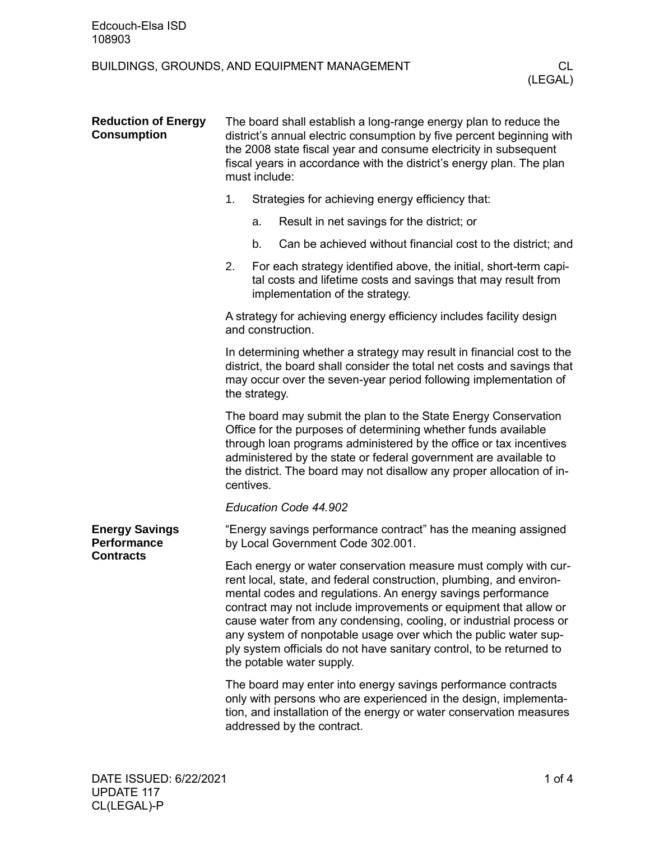## BUILDINGS, GROUNDS, AND EQUIPMENT MANAGEMENT CL

| <b>Reduction of Energy</b><br><b>Consumption</b>                | The board shall establish a long-range energy plan to reduce the<br>district's annual electric consumption by five percent beginning with<br>the 2008 state fiscal year and consume electricity in subsequent<br>fiscal years in accordance with the district's energy plan. The plan<br>must include:                                                                                                                                                                                                                  |    |                                                                                                                                                                       |  |  |
|-----------------------------------------------------------------|-------------------------------------------------------------------------------------------------------------------------------------------------------------------------------------------------------------------------------------------------------------------------------------------------------------------------------------------------------------------------------------------------------------------------------------------------------------------------------------------------------------------------|----|-----------------------------------------------------------------------------------------------------------------------------------------------------------------------|--|--|
|                                                                 | 1.                                                                                                                                                                                                                                                                                                                                                                                                                                                                                                                      |    | Strategies for achieving energy efficiency that:                                                                                                                      |  |  |
|                                                                 |                                                                                                                                                                                                                                                                                                                                                                                                                                                                                                                         | a. | Result in net savings for the district; or                                                                                                                            |  |  |
|                                                                 |                                                                                                                                                                                                                                                                                                                                                                                                                                                                                                                         | b. | Can be achieved without financial cost to the district; and                                                                                                           |  |  |
|                                                                 | 2.                                                                                                                                                                                                                                                                                                                                                                                                                                                                                                                      |    | For each strategy identified above, the initial, short-term capi-<br>tal costs and lifetime costs and savings that may result from<br>implementation of the strategy. |  |  |
|                                                                 | A strategy for achieving energy efficiency includes facility design<br>and construction.                                                                                                                                                                                                                                                                                                                                                                                                                                |    |                                                                                                                                                                       |  |  |
|                                                                 | In determining whether a strategy may result in financial cost to the<br>district, the board shall consider the total net costs and savings that<br>may occur over the seven-year period following implementation of<br>the strategy.                                                                                                                                                                                                                                                                                   |    |                                                                                                                                                                       |  |  |
|                                                                 | The board may submit the plan to the State Energy Conservation<br>Office for the purposes of determining whether funds available<br>through loan programs administered by the office or tax incentives<br>administered by the state or federal government are available to<br>the district. The board may not disallow any proper allocation of in-<br>centives.                                                                                                                                                        |    |                                                                                                                                                                       |  |  |
|                                                                 | Education Code 44.902                                                                                                                                                                                                                                                                                                                                                                                                                                                                                                   |    |                                                                                                                                                                       |  |  |
| <b>Energy Savings</b><br><b>Performance</b><br><b>Contracts</b> | "Energy savings performance contract" has the meaning assigned<br>by Local Government Code 302.001.                                                                                                                                                                                                                                                                                                                                                                                                                     |    |                                                                                                                                                                       |  |  |
|                                                                 | Each energy or water conservation measure must comply with cur-<br>rent local, state, and federal construction, plumbing, and environ-<br>mental codes and regulations. An energy savings performance<br>contract may not include improvements or equipment that allow or<br>cause water from any condensing, cooling, or industrial process or<br>any system of nonpotable usage over which the public water sup-<br>ply system officials do not have sanitary control, to be returned to<br>the potable water supply. |    |                                                                                                                                                                       |  |  |
|                                                                 | The board may enter into energy savings performance contracts<br>only with persons who are experienced in the design, implementa-<br>tion, and installation of the energy or water conservation measures<br>addressed by the contract.                                                                                                                                                                                                                                                                                  |    |                                                                                                                                                                       |  |  |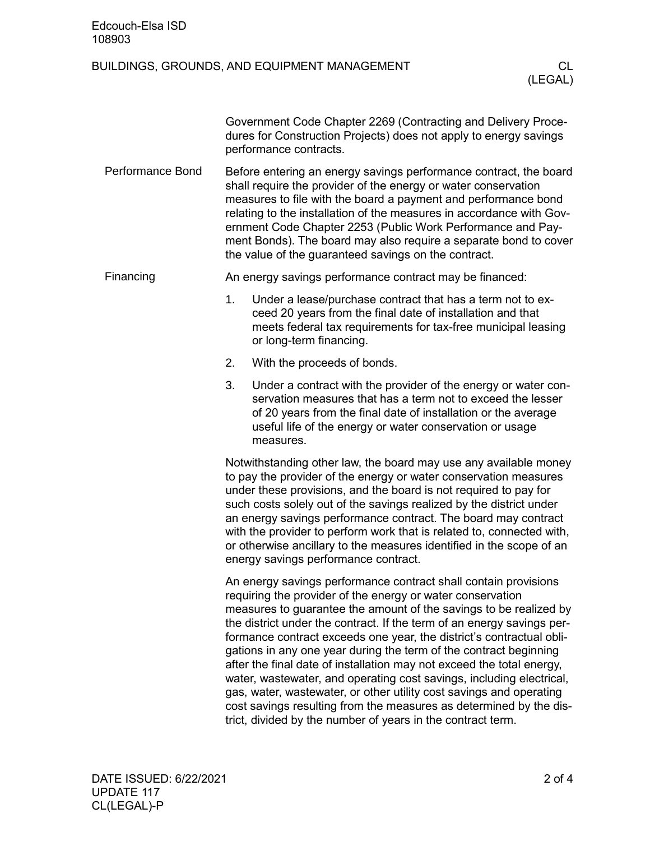| Edcouch-Elsa ISD<br>108903 |                                                                                                                                                                                                                                                                                                                                                                                                                                                                                                                                                                                                                                                                                                                                                                                        |                                                                                                                                                                                                                                                                                                                                                                                                                                                                          |               |  |
|----------------------------|----------------------------------------------------------------------------------------------------------------------------------------------------------------------------------------------------------------------------------------------------------------------------------------------------------------------------------------------------------------------------------------------------------------------------------------------------------------------------------------------------------------------------------------------------------------------------------------------------------------------------------------------------------------------------------------------------------------------------------------------------------------------------------------|--------------------------------------------------------------------------------------------------------------------------------------------------------------------------------------------------------------------------------------------------------------------------------------------------------------------------------------------------------------------------------------------------------------------------------------------------------------------------|---------------|--|
|                            |                                                                                                                                                                                                                                                                                                                                                                                                                                                                                                                                                                                                                                                                                                                                                                                        | BUILDINGS, GROUNDS, AND EQUIPMENT MANAGEMENT                                                                                                                                                                                                                                                                                                                                                                                                                             | CL<br>(LEGAL) |  |
|                            |                                                                                                                                                                                                                                                                                                                                                                                                                                                                                                                                                                                                                                                                                                                                                                                        | Government Code Chapter 2269 (Contracting and Delivery Proce-<br>dures for Construction Projects) does not apply to energy savings<br>performance contracts.                                                                                                                                                                                                                                                                                                             |               |  |
| <b>Performance Bond</b>    |                                                                                                                                                                                                                                                                                                                                                                                                                                                                                                                                                                                                                                                                                                                                                                                        | Before entering an energy savings performance contract, the board<br>shall require the provider of the energy or water conservation<br>measures to file with the board a payment and performance bond<br>relating to the installation of the measures in accordance with Gov-<br>ernment Code Chapter 2253 (Public Work Performance and Pay-<br>ment Bonds). The board may also require a separate bond to cover<br>the value of the guaranteed savings on the contract. |               |  |
| Financing                  |                                                                                                                                                                                                                                                                                                                                                                                                                                                                                                                                                                                                                                                                                                                                                                                        | An energy savings performance contract may be financed:                                                                                                                                                                                                                                                                                                                                                                                                                  |               |  |
|                            | 1.                                                                                                                                                                                                                                                                                                                                                                                                                                                                                                                                                                                                                                                                                                                                                                                     | Under a lease/purchase contract that has a term not to ex-<br>ceed 20 years from the final date of installation and that<br>meets federal tax requirements for tax-free municipal leasing<br>or long-term financing.                                                                                                                                                                                                                                                     |               |  |
|                            | 2.                                                                                                                                                                                                                                                                                                                                                                                                                                                                                                                                                                                                                                                                                                                                                                                     | With the proceeds of bonds.                                                                                                                                                                                                                                                                                                                                                                                                                                              |               |  |
|                            | 3.                                                                                                                                                                                                                                                                                                                                                                                                                                                                                                                                                                                                                                                                                                                                                                                     | Under a contract with the provider of the energy or water con-<br>servation measures that has a term not to exceed the lesser<br>of 20 years from the final date of installation or the average<br>useful life of the energy or water conservation or usage<br>measures.                                                                                                                                                                                                 |               |  |
|                            | Notwithstanding other law, the board may use any available money<br>to pay the provider of the energy or water conservation measures<br>under these provisions, and the board is not required to pay for<br>such costs solely out of the savings realized by the district under<br>an energy savings performance contract. The board may contract<br>with the provider to perform work that is related to, connected with,<br>or otherwise ancillary to the measures identified in the scope of an<br>energy savings performance contract.                                                                                                                                                                                                                                             |                                                                                                                                                                                                                                                                                                                                                                                                                                                                          |               |  |
|                            | An energy savings performance contract shall contain provisions<br>requiring the provider of the energy or water conservation<br>measures to guarantee the amount of the savings to be realized by<br>the district under the contract. If the term of an energy savings per-<br>formance contract exceeds one year, the district's contractual obli-<br>gations in any one year during the term of the contract beginning<br>after the final date of installation may not exceed the total energy,<br>water, wastewater, and operating cost savings, including electrical,<br>gas, water, wastewater, or other utility cost savings and operating<br>cost savings resulting from the measures as determined by the dis-<br>trict, divided by the number of years in the contract term. |                                                                                                                                                                                                                                                                                                                                                                                                                                                                          |               |  |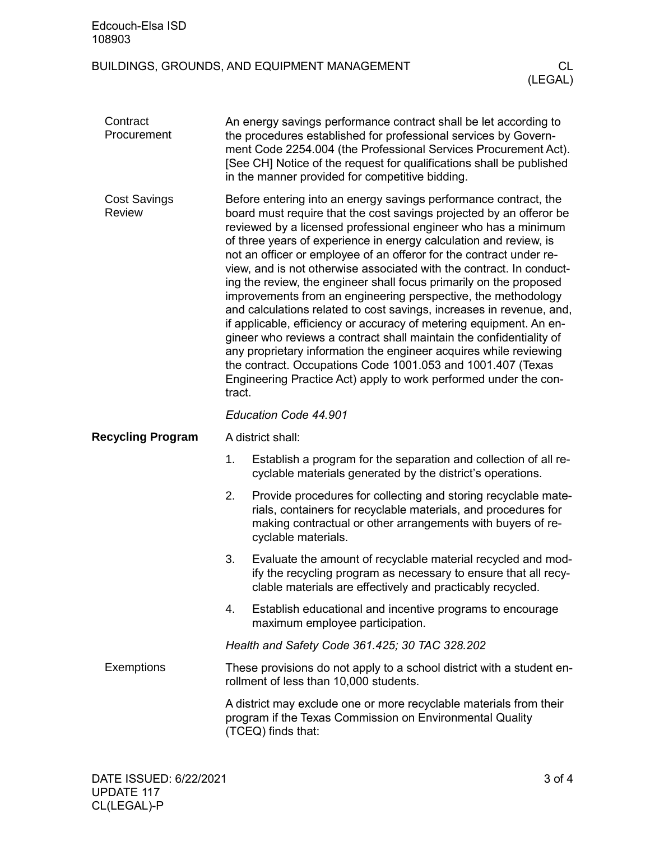| Edcouch-Elsa ISD<br>108903           |                                                                                                                                                                                                                                                                                                                                                                                                                                                                                                                                                                                                                                                                                                                                                                                                                                                                                                                                                                                                              |                                                                                                                                                                                                                                                                                                                                   |                |  |
|--------------------------------------|--------------------------------------------------------------------------------------------------------------------------------------------------------------------------------------------------------------------------------------------------------------------------------------------------------------------------------------------------------------------------------------------------------------------------------------------------------------------------------------------------------------------------------------------------------------------------------------------------------------------------------------------------------------------------------------------------------------------------------------------------------------------------------------------------------------------------------------------------------------------------------------------------------------------------------------------------------------------------------------------------------------|-----------------------------------------------------------------------------------------------------------------------------------------------------------------------------------------------------------------------------------------------------------------------------------------------------------------------------------|----------------|--|
|                                      |                                                                                                                                                                                                                                                                                                                                                                                                                                                                                                                                                                                                                                                                                                                                                                                                                                                                                                                                                                                                              | BUILDINGS, GROUNDS, AND EQUIPMENT MANAGEMENT                                                                                                                                                                                                                                                                                      | CL.<br>(LEGAL) |  |
| Contract<br>Procurement              |                                                                                                                                                                                                                                                                                                                                                                                                                                                                                                                                                                                                                                                                                                                                                                                                                                                                                                                                                                                                              | An energy savings performance contract shall be let according to<br>the procedures established for professional services by Govern-<br>ment Code 2254.004 (the Professional Services Procurement Act).<br>[See CH] Notice of the request for qualifications shall be published<br>in the manner provided for competitive bidding. |                |  |
| <b>Cost Savings</b><br><b>Review</b> | Before entering into an energy savings performance contract, the<br>board must require that the cost savings projected by an offeror be<br>reviewed by a licensed professional engineer who has a minimum<br>of three years of experience in energy calculation and review, is<br>not an officer or employee of an offeror for the contract under re-<br>view, and is not otherwise associated with the contract. In conduct-<br>ing the review, the engineer shall focus primarily on the proposed<br>improvements from an engineering perspective, the methodology<br>and calculations related to cost savings, increases in revenue, and,<br>if applicable, efficiency or accuracy of metering equipment. An en-<br>gineer who reviews a contract shall maintain the confidentiality of<br>any proprietary information the engineer acquires while reviewing<br>the contract. Occupations Code 1001.053 and 1001.407 (Texas<br>Engineering Practice Act) apply to work performed under the con-<br>tract. |                                                                                                                                                                                                                                                                                                                                   |                |  |
|                                      |                                                                                                                                                                                                                                                                                                                                                                                                                                                                                                                                                                                                                                                                                                                                                                                                                                                                                                                                                                                                              | Education Code 44.901                                                                                                                                                                                                                                                                                                             |                |  |
| <b>Recycling Program</b>             | A district shall:                                                                                                                                                                                                                                                                                                                                                                                                                                                                                                                                                                                                                                                                                                                                                                                                                                                                                                                                                                                            |                                                                                                                                                                                                                                                                                                                                   |                |  |
|                                      | 1.                                                                                                                                                                                                                                                                                                                                                                                                                                                                                                                                                                                                                                                                                                                                                                                                                                                                                                                                                                                                           | Establish a program for the separation and collection of all re-<br>cyclable materials generated by the district's operations.                                                                                                                                                                                                    |                |  |
|                                      | 2.                                                                                                                                                                                                                                                                                                                                                                                                                                                                                                                                                                                                                                                                                                                                                                                                                                                                                                                                                                                                           | Provide procedures for collecting and storing recyclable mate-<br>rials, containers for recyclable materials, and procedures for<br>making contractual or other arrangements with buyers of re-<br>cyclable materials.                                                                                                            |                |  |
|                                      | 3.                                                                                                                                                                                                                                                                                                                                                                                                                                                                                                                                                                                                                                                                                                                                                                                                                                                                                                                                                                                                           | Evaluate the amount of recyclable material recycled and mod-<br>ify the recycling program as necessary to ensure that all recy-<br>clable materials are effectively and practicably recycled.                                                                                                                                     |                |  |
|                                      | 4.                                                                                                                                                                                                                                                                                                                                                                                                                                                                                                                                                                                                                                                                                                                                                                                                                                                                                                                                                                                                           | Establish educational and incentive programs to encourage<br>maximum employee participation.                                                                                                                                                                                                                                      |                |  |
|                                      | Health and Safety Code 361.425; 30 TAC 328.202                                                                                                                                                                                                                                                                                                                                                                                                                                                                                                                                                                                                                                                                                                                                                                                                                                                                                                                                                               |                                                                                                                                                                                                                                                                                                                                   |                |  |
| <b>Exemptions</b>                    | These provisions do not apply to a school district with a student en-<br>rollment of less than 10,000 students.                                                                                                                                                                                                                                                                                                                                                                                                                                                                                                                                                                                                                                                                                                                                                                                                                                                                                              |                                                                                                                                                                                                                                                                                                                                   |                |  |
|                                      | A district may exclude one or more recyclable materials from their<br>program if the Texas Commission on Environmental Quality<br>(TCEQ) finds that:                                                                                                                                                                                                                                                                                                                                                                                                                                                                                                                                                                                                                                                                                                                                                                                                                                                         |                                                                                                                                                                                                                                                                                                                                   |                |  |